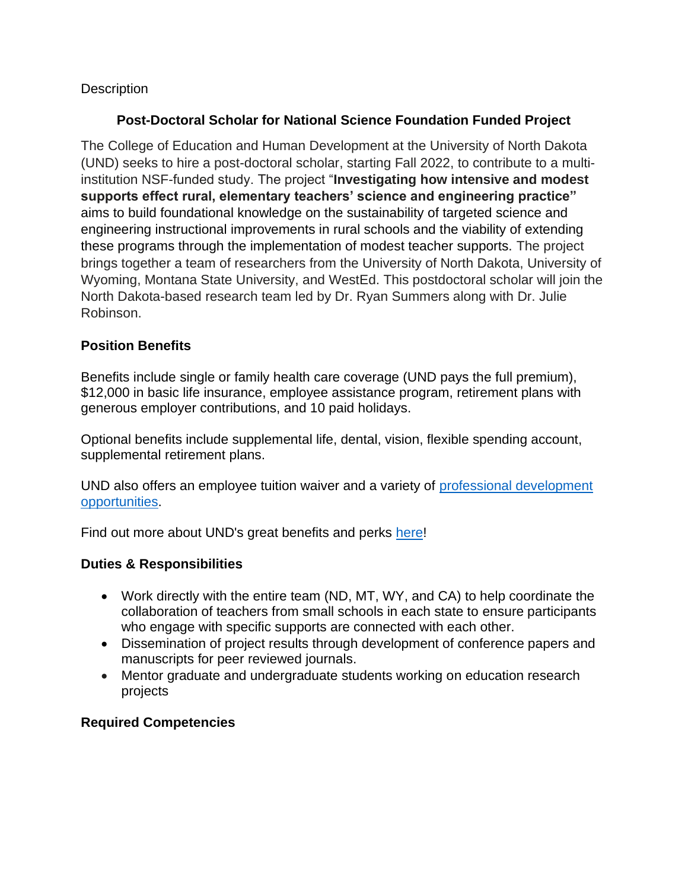## **Description**

## **Post-Doctoral Scholar for National Science Foundation Funded Project**

The College of Education and Human Development at the University of North Dakota (UND) seeks to hire a post-doctoral scholar, starting Fall 2022, to contribute to a multiinstitution NSF-funded study. The project "**Investigating how intensive and modest supports effect rural, elementary teachers' science and engineering practice"**  aims to build foundational knowledge on the sustainability of targeted science and engineering instructional improvements in rural schools and the viability of extending these programs through the implementation of modest teacher supports. The project brings together a team of researchers from the University of North Dakota, University of Wyoming, Montana State University, and WestEd. This postdoctoral scholar will join the North Dakota-based research team led by Dr. Ryan Summers along with Dr. Julie Robinson.

#### **Position Benefits**

Benefits include single or family health care coverage (UND pays the full premium), \$12,000 in basic life insurance, employee assistance program, retirement plans with generous employer contributions, and 10 paid holidays.

Optional benefits include supplemental life, dental, vision, flexible spending account, supplemental retirement plans.

UND also offers an employee tuition waiver and a variety of [professional development](https://und.edu/academics/ttada/)  [opportunities.](https://und.edu/academics/ttada/)

Find out more about UND's great benefits and perks [here!](https://campus.und.edu/human-resources/employees/benefits/index.html)

#### **Duties & Responsibilities**

- Work directly with the entire team (ND, MT, WY, and CA) to help coordinate the collaboration of teachers from small schools in each state to ensure participants who engage with specific supports are connected with each other.
- Dissemination of project results through development of conference papers and manuscripts for peer reviewed journals.
- Mentor graduate and undergraduate students working on education research projects

#### **Required Competencies**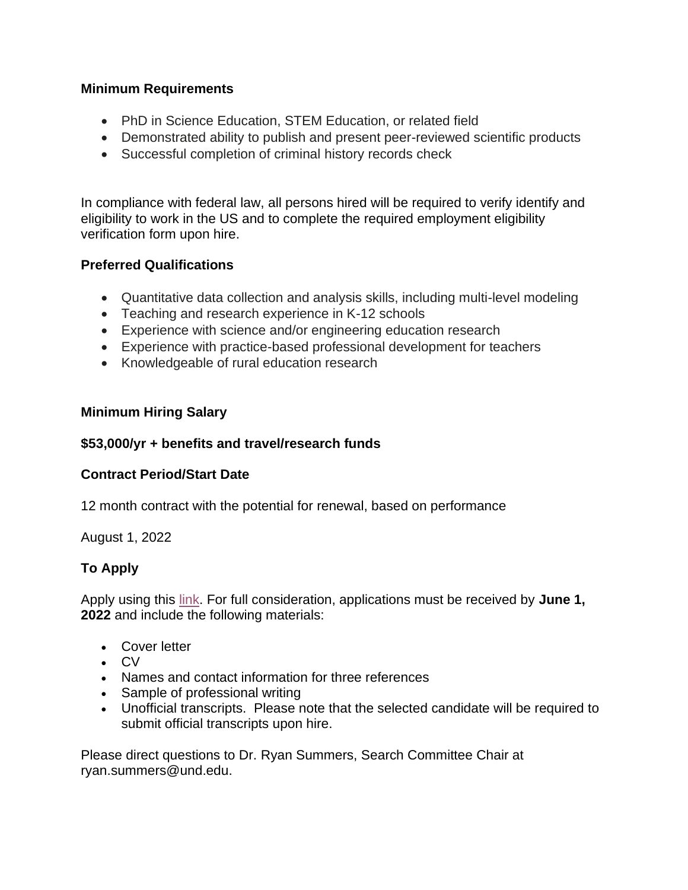## **Minimum Requirements**

- PhD in Science Education, STEM Education, or related field
- Demonstrated ability to publish and present peer-reviewed scientific products
- Successful completion of criminal history records check

In compliance with federal law, all persons hired will be required to verify identify and eligibility to work in the US and to complete the required employment eligibility verification form upon hire.

# **Preferred Qualifications**

- Quantitative data collection and analysis skills, including multi-level modeling
- Teaching and research experience in K-12 schools
- Experience with science and/or engineering education research
- Experience with practice-based professional development for teachers
- Knowledgeable of rural education research

# **Minimum Hiring Salary**

## **\$53,000/yr + benefits and travel/research funds**

# **Contract Period/Start Date**

12 month contract with the potential for renewal, based on performance

August 1, 2022

# **To Apply**

Apply using this [link.](https://campus.und.edu/human-resources/careers/job-openings.html?title=Post%20Doctoral%20Research%20Fellow%20-%20College%20of%20Education%20and%20Human%20Development) For full consideration, applications must be received by **June 1, 2022** and include the following materials:

- Cover letter
- CV
- Names and contact information for three references
- Sample of professional writing
- Unofficial transcripts. Please note that the selected candidate will be required to submit official transcripts upon hire.

Please direct questions to Dr. Ryan Summers, Search Committee Chair at ryan.summers@und.edu.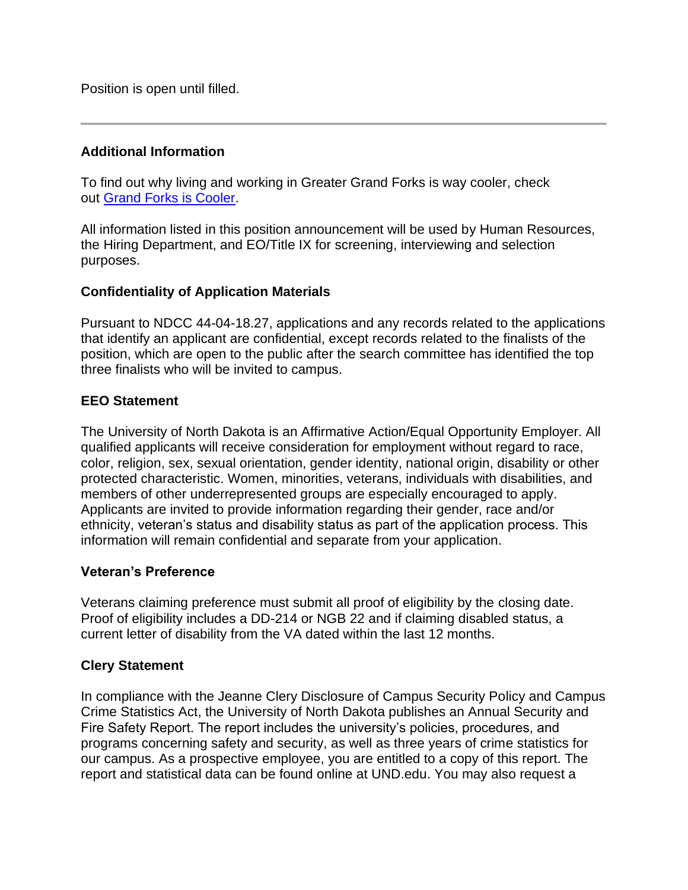Position is open until filled.

### **Additional Information**

To find out why living and working in Greater Grand Forks is way cooler, check out [Grand Forks is Cooler.](http://www.grandforksiscooler.com/)

All information listed in this position announcement will be used by Human Resources, the Hiring Department, and EO/Title IX for screening, interviewing and selection purposes.

### **Confidentiality of Application Materials**

Pursuant to NDCC 44-04-18.27, applications and any records related to the applications that identify an applicant are confidential, except records related to the finalists of the position, which are open to the public after the search committee has identified the top three finalists who will be invited to campus.

### **EEO Statement**

The University of North Dakota is an Affirmative Action/Equal Opportunity Employer. All qualified applicants will receive consideration for employment without regard to race, color, religion, sex, sexual orientation, gender identity, national origin, disability or other protected characteristic. Women, minorities, veterans, individuals with disabilities, and members of other underrepresented groups are especially encouraged to apply. Applicants are invited to provide information regarding their gender, race and/or ethnicity, veteran's status and disability status as part of the application process. This information will remain confidential and separate from your application.

#### **Veteran's Preference**

Veterans claiming preference must submit all proof of eligibility by the closing date. Proof of eligibility includes a DD-214 or NGB 22 and if claiming disabled status, a current letter of disability from the VA dated within the last 12 months.

# **Clery Statement**

In compliance with the Jeanne Clery Disclosure of Campus Security Policy and Campus Crime Statistics Act, the University of North Dakota publishes an Annual Security and Fire Safety Report. The report includes the university's policies, procedures, and programs concerning safety and security, as well as three years of crime statistics for our campus. As a prospective employee, you are entitled to a copy of this report. The report and statistical data can be found online at UND.edu. You may also request a